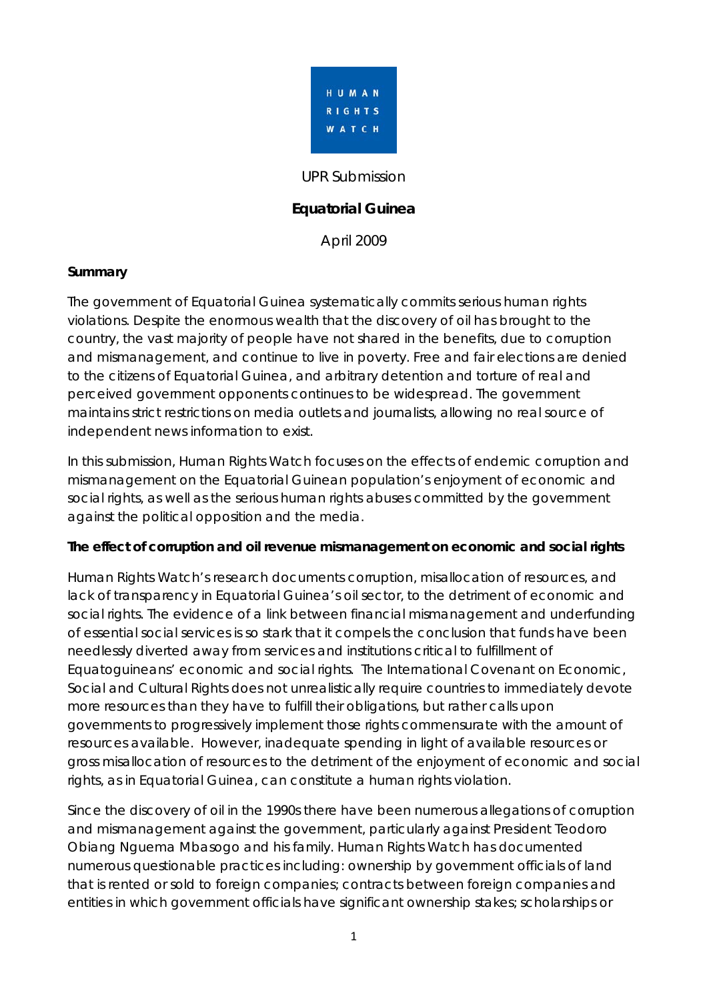

#### UPR Submission

# **Equatorial Guinea**

April 2009

#### **Summary**

The government of Equatorial Guinea systematically commits serious human rights violations. Despite the enormous wealth that the discovery of oil has brought to the country, the vast majority of people have not shared in the benefits, due to corruption and mismanagement, and continue to live in poverty. Free and fair elections are denied to the citizens of Equatorial Guinea, and arbitrary detention and torture of real and perceived government opponents continues to be widespread. The government maintains strict restrictions on media outlets and journalists, allowing no real source of independent news information to exist.

In this submission, Human Rights Watch focuses on the effects of endemic corruption and mismanagement on the Equatorial Guinean population's enjoyment of economic and social rights, as well as the serious human rights abuses committed by the government against the political opposition and the media.

#### **The effect of corruption and oil revenue mismanagement on economic and social rights**

Human Rights Watch's research documents corruption, misallocation of resources, and lack of transparency in Equatorial Guinea's oil sector, to the detriment of economic and social rights. The evidence of a link between financial mismanagement and underfunding of essential social services is so stark that it compels the conclusion that funds have been needlessly diverted away from services and institutions critical to fulfillment of Equatoguineans' economic and social rights. The International Covenant on Economic, Social and Cultural Rights does not unrealistically require countries to immediately devote more resources than they have to fulfill their obligations, but rather calls upon governments to progressively implement those rights commensurate with the amount of resources available. However, inadequate spending in light of available resources or gross misallocation of resources to the detriment of the enjoyment of economic and social rights, as in Equatorial Guinea, can constitute a human rights violation.

Since the discovery of oil in the 1990s there have been numerous allegations of corruption and mismanagement against the government, particularly against President Teodoro Obiang Nguema Mbasogo and his family. Human Rights Watch has documented numerous questionable practices including: ownership by government officials of land that is rented or sold to foreign companies; contracts between foreign companies and entities in which government officials have significant ownership stakes; scholarships or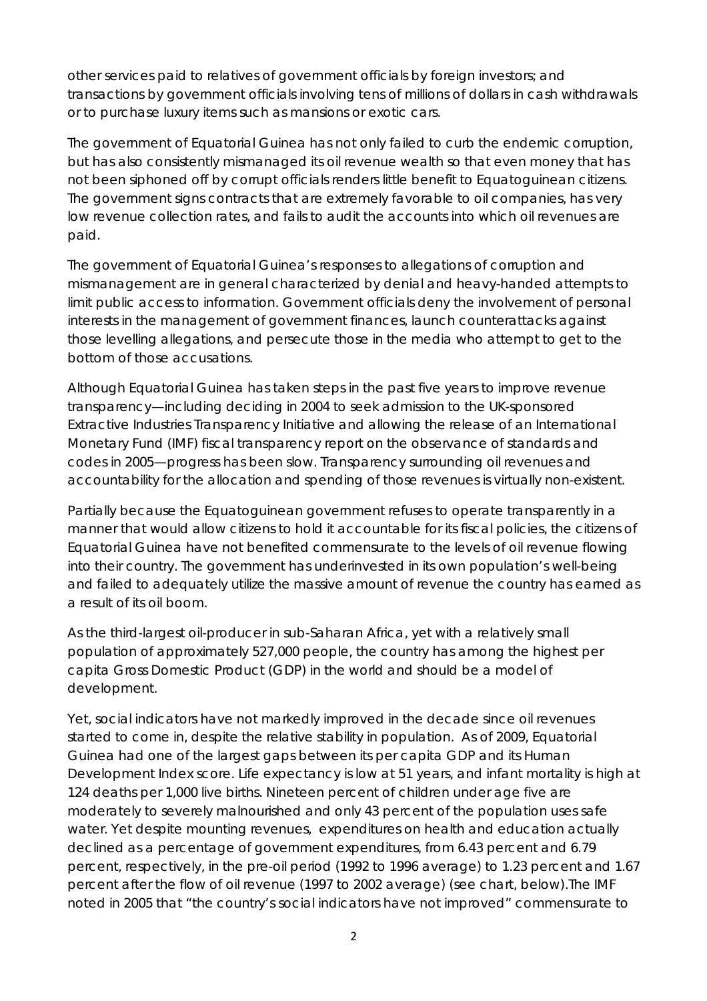other services paid to relatives of government officials by foreign investors; and transactions by government officials involving tens of millions of dollars in cash withdrawals or to purchase luxury items such as mansions or exotic cars.

The government of Equatorial Guinea has not only failed to curb the endemic corruption, but has also consistently mismanaged its oil revenue wealth so that even money that has not been siphoned off by corrupt officials renders little benefit to Equatoguinean citizens. The government signs contracts that are extremely favorable to oil companies, has very low revenue collection rates, and fails to audit the accounts into which oil revenues are paid.

The government of Equatorial Guinea's responses to allegations of corruption and mismanagement are in general characterized by denial and heavy-handed attempts to limit public access to information. Government officials deny the involvement of personal interests in the management of government finances, launch counterattacks against those levelling allegations, and persecute those in the media who attempt to get to the bottom of those accusations.

Although Equatorial Guinea has taken steps in the past five years to improve revenue transparency—including deciding in 2004 to seek admission to the UK-sponsored Extractive Industries Transparency Initiative and allowing the release of an International Monetary Fund (IMF) fiscal transparency report on the observance of standards and codes in 2005—progress has been slow. Transparency surrounding oil revenues and accountability for the allocation and spending of those revenues is virtually non-existent.

Partially because the Equatoguinean government refuses to operate transparently in a manner that would allow citizens to hold it accountable for its fiscal policies, the citizens of Equatorial Guinea have not benefited commensurate to the levels of oil revenue flowing into their country. The government has underinvested in its own population's well-being and failed to adequately utilize the massive amount of revenue the country has earned as a result of its oil boom.

As the third-largest oil-producer in sub-Saharan Africa, yet with a relatively small population of approximately 527,000 people, the country has among the highest per capita Gross Domestic Product (GDP) in the world and should be a model of development.

Yet, social indicators have not markedly improved in the decade since oil revenues started to come in, despite the relative stability in population. As of 2009, Equatorial Guinea had one of the largest gaps between its per capita GDP and its Human Development Index score. Life expectancy is low at 51 years, and infant mortality is high at 124 deaths per 1,000 live births. Nineteen percent of children under age five are moderately to severely malnourished and only 43 percent of the population uses safe water. Yet despite mounting revenues, expenditures on health and education actually declined as a percentage of government expenditures, from 6.43 percent and 6.79 percent, respectively, in the pre-oil period (1992 to 1996 average) to 1.23 percent and 1.67 percent after the flow of oil revenue (1997 to 2002 average) (see chart, below).The IMF noted in 2005 that "the country's social indicators have not improved" commensurate to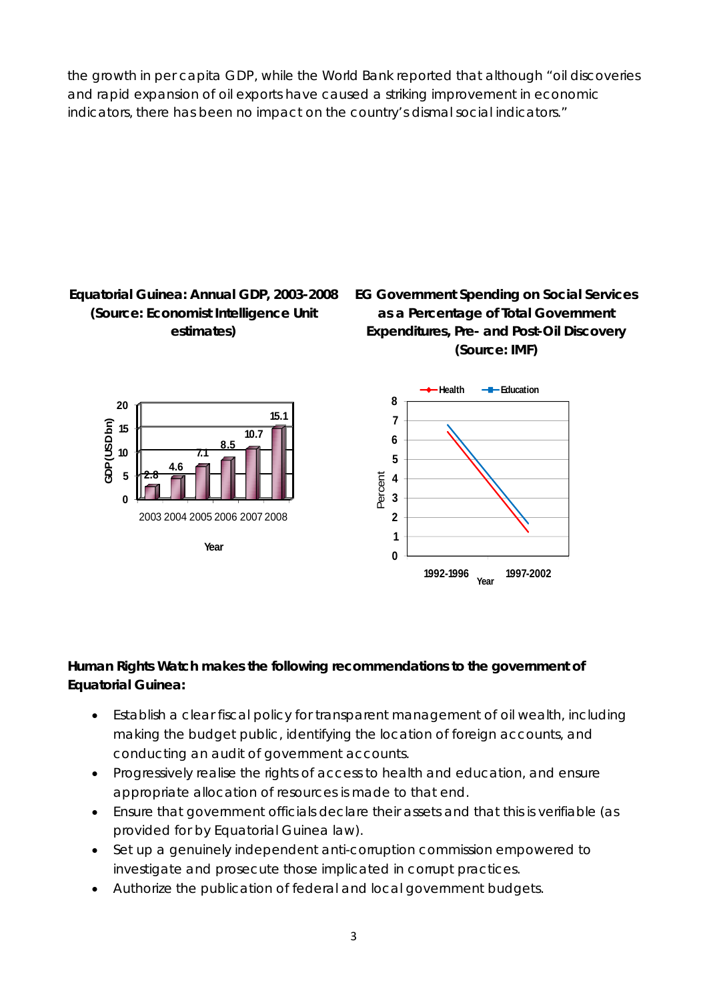the growth in per capita GDP, while the World Bank reported that although "oil discoveries and rapid expansion of oil exports have caused a striking improvement in economic indicators, there has been no impact on the country's dismal social indicators."



# **Human Rights Watch makes the following recommendations to the government of Equatorial Guinea:**

- Establish a clear fiscal policy for transparent management of oil wealth, including making the budget public, identifying the location of foreign accounts, and conducting an audit of government accounts.
- Progressively realise the rights of access to health and education, and ensure appropriate allocation of resources is made to that end.
- Ensure that government officials declare their assets and that this is verifiable (as provided for by Equatorial Guinea law).
- Set up a genuinely independent anti-corruption commission empowered to investigate and prosecute those implicated in corrupt practices.
- Authorize the publication of federal and local government budgets.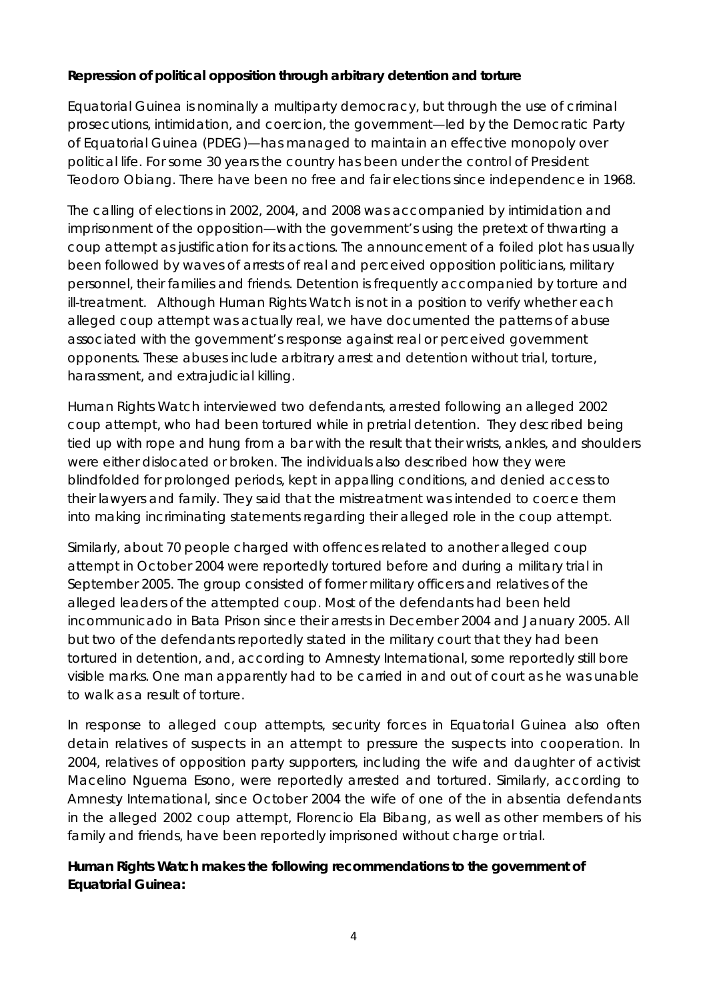### **Repression of political opposition through arbitrary detention and torture**

Equatorial Guinea is nominally a multiparty democracy, but through the use of criminal prosecutions, intimidation, and coercion, the government—led by the Democratic Party of Equatorial Guinea (PDEG)—has managed to maintain an effective monopoly over political life. For some 30 years the country has been under the control of President Teodoro Obiang. There have been no free and fair elections since independence in 1968.

The calling of elections in 2002, 2004, and 2008 was accompanied by intimidation and imprisonment of the opposition—with the government's using the pretext of thwarting a coup attempt as justification for its actions. The announcement of a foiled plot has usually been followed by waves of arrests of real and perceived opposition politicians, military personnel, their families and friends. Detention is frequently accompanied by torture and ill-treatment. Although Human Rights Watch is not in a position to verify whether each alleged coup attempt was actually real, we have documented the patterns of abuse associated with the government's response against real or perceived government opponents. These abuses include arbitrary arrest and detention without trial, torture, harassment, and extrajudicial killing.

Human Rights Watch interviewed two defendants, arrested following an alleged 2002 coup attempt, who had been tortured while in pretrial detention. They described being tied up with rope and hung from a bar with the result that their wrists, ankles, and shoulders were either dislocated or broken. The individuals also described how they were blindfolded for prolonged periods, kept in appalling conditions, and denied access to their lawyers and family. They said that the mistreatment was intended to coerce them into making incriminating statements regarding their alleged role in the coup attempt.

Similarly, about 70 people charged with offences related to another alleged coup attempt in October 2004 were reportedly tortured before and during a military trial in September 2005. The group consisted of former military officers and relatives of the alleged leaders of the attempted coup. Most of the defendants had been held incommunicado in Bata Prison since their arrests in December 2004 and January 2005. All but two of the defendants reportedly stated in the military court that they had been tortured in detention, and, according to Amnesty International, some reportedly still bore visible marks. One man apparently had to be carried in and out of court as he was unable to walk as a result of torture.

In response to alleged coup attempts, security forces in Equatorial Guinea also often detain relatives of suspects in an attempt to pressure the suspects into cooperation. In 2004, relatives of opposition party supporters, including the wife and daughter of activist Macelino Nguema Esono, were reportedly arrested and tortured. Similarly, according to Amnesty International, since October 2004 the wife of one of the in absentia defendants in the alleged 2002 coup attempt, Florencio Ela Bibang, as well as other members of his family and friends, have been reportedly imprisoned without charge or trial.

# **Human Rights Watch makes the following recommendations to the government of Equatorial Guinea:**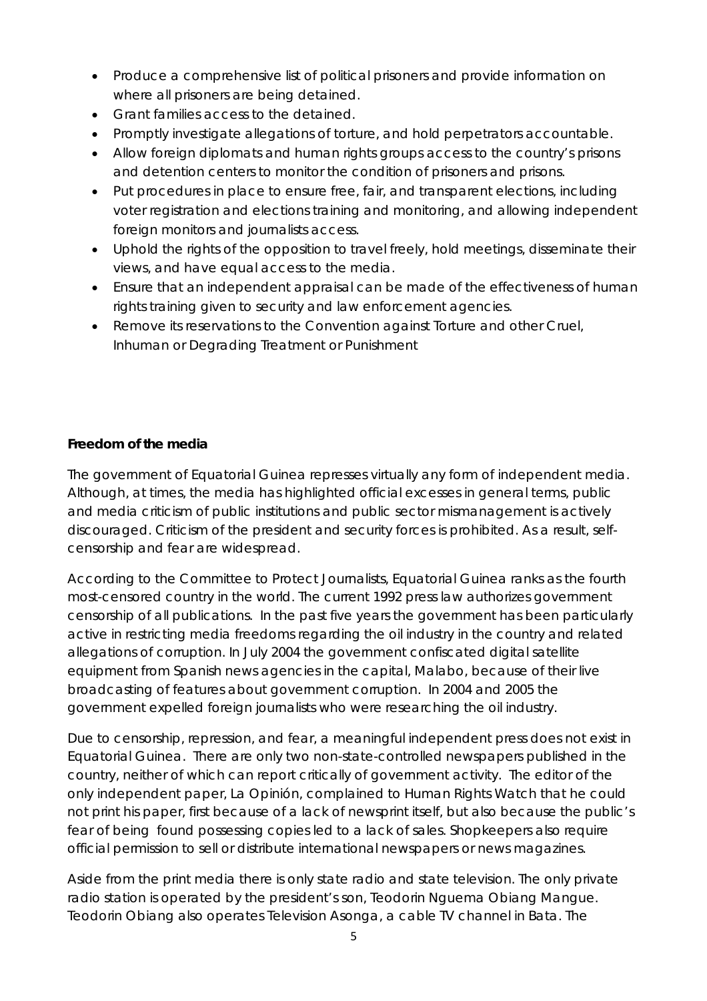- Produce a comprehensive list of political prisoners and provide information on where all prisoners are being detained.
- Grant families access to the detained.
- Promptly investigate allegations of torture, and hold perpetrators accountable.
- Allow foreign diplomats and human rights groups access to the country's prisons and detention centers to monitor the condition of prisoners and prisons.
- Put procedures in place to ensure free, fair, and transparent elections, including voter registration and elections training and monitoring, and allowing independent foreign monitors and journalists access.
- Uphold the rights of the opposition to travel freely, hold meetings, disseminate their views, and have equal access to the media.
- Ensure that an independent appraisal can be made of the effectiveness of human rights training given to security and law enforcement agencies.
- Remove its reservations to the Convention against Torture and other Cruel, Inhuman or Degrading Treatment or Punishment

### **Freedom of the media**

The government of Equatorial Guinea represses virtually any form of independent media. Although, at times, the media has highlighted official excesses in general terms, public and media criticism of public institutions and public sector mismanagement is actively discouraged. Criticism of the president and security forces is prohibited. As a result, selfcensorship and fear are widespread.

According to the Committee to Protect Journalists, Equatorial Guinea ranks as the fourth most-censored country in the world. The current 1992 press law authorizes government censorship of all publications. In the past five years the government has been particularly active in restricting media freedoms regarding the oil industry in the country and related allegations of corruption. In July 2004 the government confiscated digital satellite equipment from Spanish news agencies in the capital, Malabo, because of their live broadcasting of features about government corruption. In 2004 and 2005 the government expelled foreign journalists who were researching the oil industry.

Due to censorship, repression, and fear, a meaningful independent press does not exist in Equatorial Guinea. There are only two non-state-controlled newspapers published in the country, neither of which can report critically of government activity. The editor of the only independent paper, *La Opinión,* complained to Human Rights Watch that he could not print his paper, first because of a lack of newsprint itself, but also because the public's fear of being found possessing copies led to a lack of sales. Shopkeepers also require official permission to sell or distribute international newspapers or news magazines.

Aside from the print media there is only state radio and state television. The only private radio station is operated by the president's son, Teodorin Nguema Obiang Mangue. Teodorin Obiang also operates Television Asonga, a cable TV channel in Bata. The